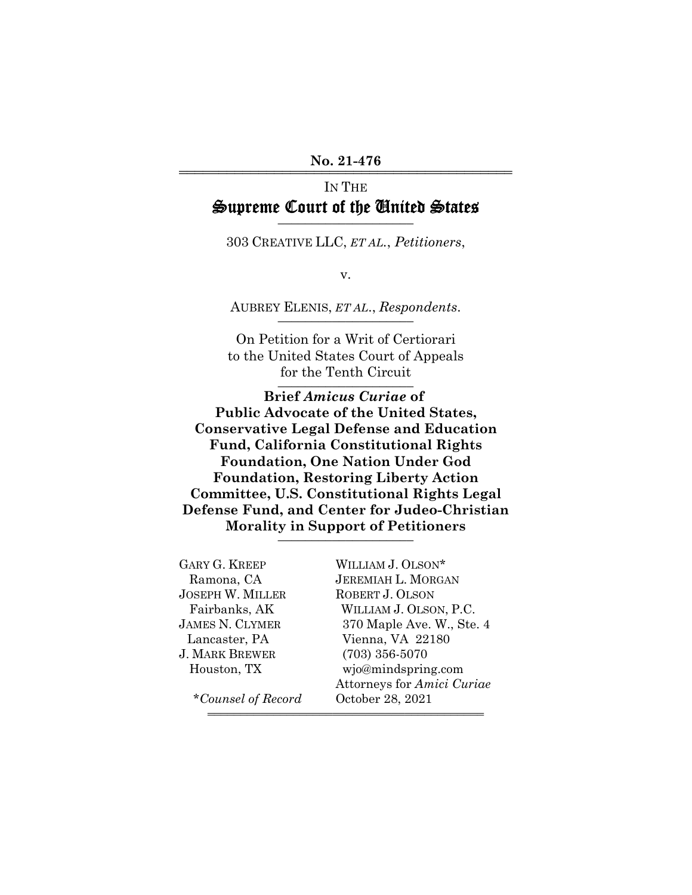#### No. 21-476

# IN THE Supreme Court of the United States

303 CREATIVE LLC, *ET AL.*, *Petitioners*,

v.

AUBREY ELENIS, *ET AL.*, *Respondents*.

On Petition for a Writ of Certiorari to the United States Court of Appeals for the Tenth Circuit

**Brief** *Amicus Curiae* **of Public Advocate of the United States, Conservative Legal Defense and Education Fund, California Constitutional Rights Foundation, One Nation Under God Foundation, Restoring Liberty Action Committee, U.S. Constitutional Rights Legal Defense Fund, and Center for Judeo-Christian Morality in Support of Petitioners** \_\_\_\_\_\_\_\_\_\_\_\_\_\_\_\_\_\_\_\_

| <b>GARY G. KREEP</b>    | WILLIAM J. OLSON*          |
|-------------------------|----------------------------|
| Ramona, CA              | <b>JEREMIAH L. MORGAN</b>  |
| <b>JOSEPH W. MILLER</b> | ROBERT J. OLSON            |
| Fairbanks, AK           | WILLIAM J. OLSON, P.C.     |
| <b>JAMES N. CLYMER</b>  | 370 Maple Ave. W., Ste. 4  |
| Lancaster, PA           | Vienna, VA 22180           |
| <b>J. MARK BREWER</b>   | $(703)$ 356-5070           |
| Houston, TX             | wjo@mindspring.com         |
|                         | Attorneys for Amici Curiae |
| *Counsel of Record      | October 28, 2021           |
|                         |                            |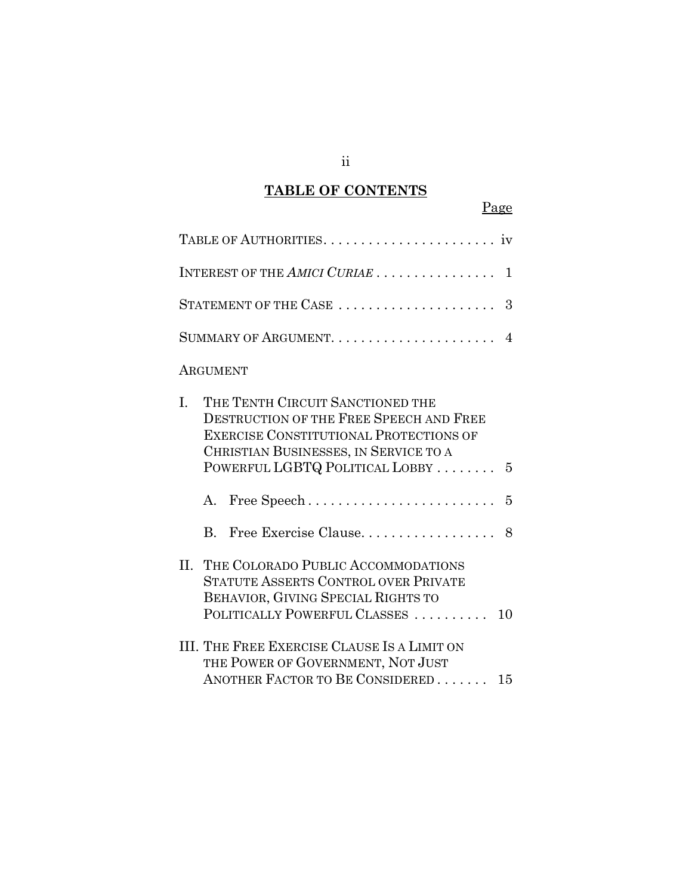## **TABLE OF CONTENTS**

Page

| INTEREST OF THE AMICI CURIAE  1                                                                                                                                                                                  |
|------------------------------------------------------------------------------------------------------------------------------------------------------------------------------------------------------------------|
|                                                                                                                                                                                                                  |
|                                                                                                                                                                                                                  |
| ARGUMENT                                                                                                                                                                                                         |
| THE TENTH CIRCUIT SANCTIONED THE<br>L.<br><b>DESTRUCTION OF THE FREE SPEECH AND FREE</b><br>EXERCISE CONSTITUTIONAL PROTECTIONS OF<br>CHRISTIAN BUSINESSES, IN SERVICE TO A<br>POWERFUL LGBTQ POLITICAL LOBBY  5 |
| $\mathbf{A}$                                                                                                                                                                                                     |
|                                                                                                                                                                                                                  |
| THE COLORADO PUBLIC ACCOMMODATIONS<br>$\Pi$ .<br><b>STATUTE ASSERTS CONTROL OVER PRIVATE</b><br>BEHAVIOR, GIVING SPECIAL RIGHTS TO<br>POLITICALLY POWERFUL CLASSES<br>10                                         |

III. THE FREE EXERCISE CLAUSE IS A LIMIT ON THE POWER OF GOVERNMENT, NOT JUST ANOTHER FACTOR TO BE CONSIDERED . . . . . . . 15

ii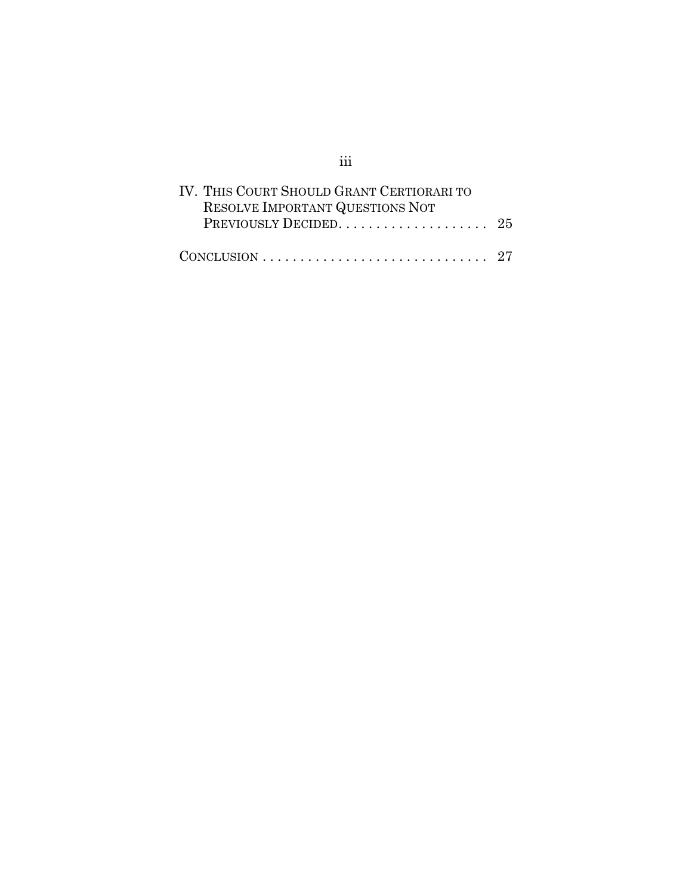| IV. THIS COURT SHOULD GRANT CERTIORARI TO<br>RESOLVE IMPORTANT QUESTIONS NOT   |  |
|--------------------------------------------------------------------------------|--|
|                                                                                |  |
| $CONCLUSION \ldots \ldots \ldots \ldots \ldots \ldots \ldots \ldots \ldots 27$ |  |

iii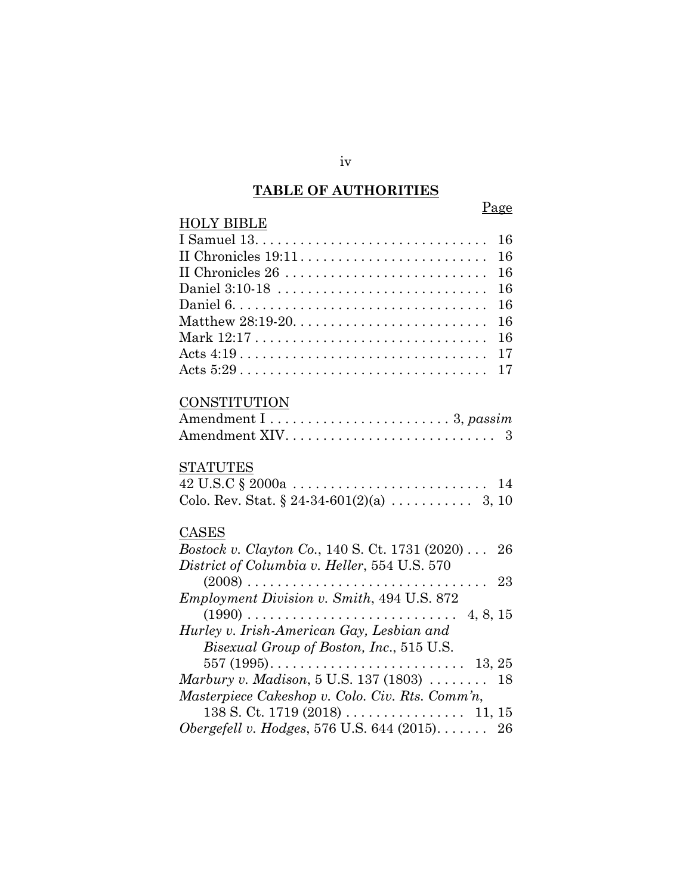## **TABLE OF AUTHORITIES**

## Page

| <b>HOLY BIBLE</b>                                                                       |    |
|-----------------------------------------------------------------------------------------|----|
| I Samuel $13. \ldots \ldots \ldots \ldots \ldots \ldots \ldots \ldots \ldots$           | 16 |
|                                                                                         | 16 |
| II Chronicles 26                                                                        | 16 |
| Daniel 3:10-18                                                                          | 16 |
|                                                                                         | 16 |
|                                                                                         | 16 |
|                                                                                         | 16 |
| Acts $4:19 \ldots \ldots \ldots \ldots \ldots \ldots \ldots \ldots \ldots$              | 17 |
| Acts $5:29 \ldots \ldots \ldots \ldots \ldots \ldots \ldots \ldots \ldots \ldots$       | 17 |
| <b>CONSTITUTION</b>                                                                     |    |
|                                                                                         |    |
|                                                                                         |    |
|                                                                                         |    |
| <b>STATUTES</b>                                                                         |    |
| $42 \text{ U.S.C} \$ $2000a \ldots \ldots \ldots \ldots \ldots \ldots \ldots \ldots 14$ |    |
|                                                                                         |    |
| CASES                                                                                   |    |
| <i>Bostock v. Clayton Co.</i> , 140 S. Ct. 1731 (2020) 26                               |    |
| District of Columbia v. Heller, 554 U.S. 570                                            |    |
|                                                                                         |    |
| Employment Division v. Smith, 494 U.S. 872                                              |    |
|                                                                                         |    |
| Hurley v. Irish-American Gay, Lesbian and                                               |    |
| Bisexual Group of Boston, Inc., 515 U.S.                                                |    |
|                                                                                         |    |
| Marbury v. Madison, 5 U.S. 137 (1803) $\ldots \ldots$                                   | 18 |
| Masterpiece Cakeshop v. Colo. Civ. Rts. Comm'n,                                         |    |

138 S. Ct. 1719 (2018) . . . . . . . . . . . . . . . . 11, 15 *Obergefell v. Hodges*, 576 U.S. 644 (2015). . . . . . . 26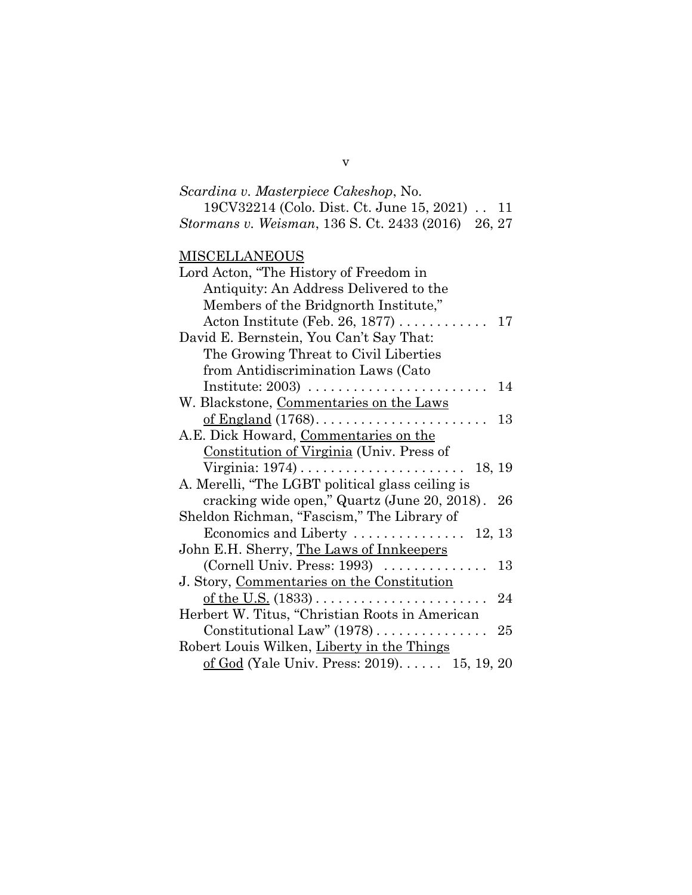| Scardina v. Masterpiece Cakeshop, No.              |  |
|----------------------------------------------------|--|
| 19CV32214 (Colo. Dist. Ct. June 15, 2021) 11       |  |
| Stormans v. Weisman, 136 S. Ct. 2433 (2016) 26, 27 |  |

## **MISCELLANEOUS**

| Lord Acton, "The History of Freedom in                    |
|-----------------------------------------------------------|
| Antiquity: An Address Delivered to the                    |
| Members of the Bridgnorth Institute,"                     |
| Acton Institute (Feb. 26, 1877) $\dots \dots \dots$<br>17 |
| David E. Bernstein, You Can't Say That:                   |
| The Growing Threat to Civil Liberties                     |
| from Antidiscrimination Laws (Cato                        |
| 14                                                        |
| W. Blackstone, Commentaries on the Laws                   |
| 13                                                        |
| A.E. Dick Howard, Commentaries on the                     |
| Constitution of Virginia (Univ. Press of                  |
| 18, 19                                                    |
| A. Merelli, "The LGBT political glass ceiling is          |
| cracking wide open," Quartz (June 20, 2018). 26           |
| Sheldon Richman, "Fascism," The Library of                |
| Economics and Liberty  12, 13                             |
| John E.H. Sherry, The Laws of Innkeepers                  |
| (Cornell Univ. Press: $1993$ )<br>13                      |
| J. Story, Commentaries on the Constitution                |
| 24                                                        |
| Herbert W. Titus, "Christian Roots in American            |
| Constitutional Law" $(1978)$<br>25                        |
| Robert Louis Wilken, Liberty in the Things                |
| of God (Yale Univ. Press: 2019) 15, 19, 20                |

v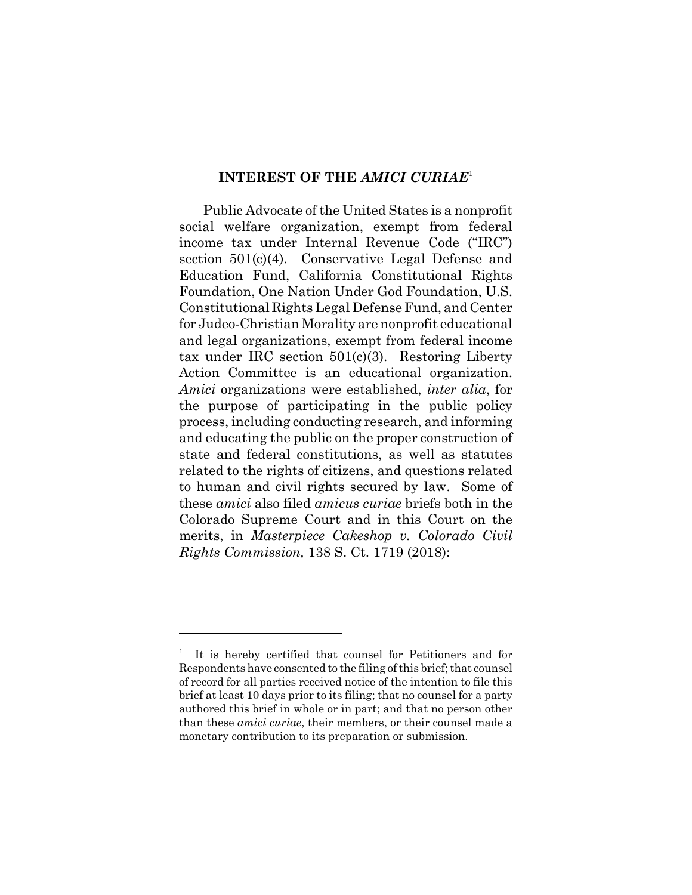### **INTEREST OF THE** *AMICI CURIAE*<sup>1</sup>

Public Advocate of the United States is a nonprofit social welfare organization, exempt from federal income tax under Internal Revenue Code ("IRC") section 501(c)(4). Conservative Legal Defense and Education Fund, California Constitutional Rights Foundation, One Nation Under God Foundation, U.S. Constitutional Rights Legal Defense Fund, and Center for Judeo-Christian Morality are nonprofit educational and legal organizations, exempt from federal income tax under IRC section 501(c)(3). Restoring Liberty Action Committee is an educational organization. *Amici* organizations were established, *inter alia*, for the purpose of participating in the public policy process, including conducting research, and informing and educating the public on the proper construction of state and federal constitutions, as well as statutes related to the rights of citizens, and questions related to human and civil rights secured by law. Some of these *amici* also filed *amicus curiae* briefs both in the Colorado Supreme Court and in this Court on the merits, in *Masterpiece Cakeshop v. Colorado Civil Rights Commission,* 138 S. Ct. 1719 (2018):

<sup>1</sup> It is hereby certified that counsel for Petitioners and for Respondents have consented to the filing of this brief; that counsel of record for all parties received notice of the intention to file this brief at least 10 days prior to its filing; that no counsel for a party authored this brief in whole or in part; and that no person other than these *amici curiae*, their members, or their counsel made a monetary contribution to its preparation or submission.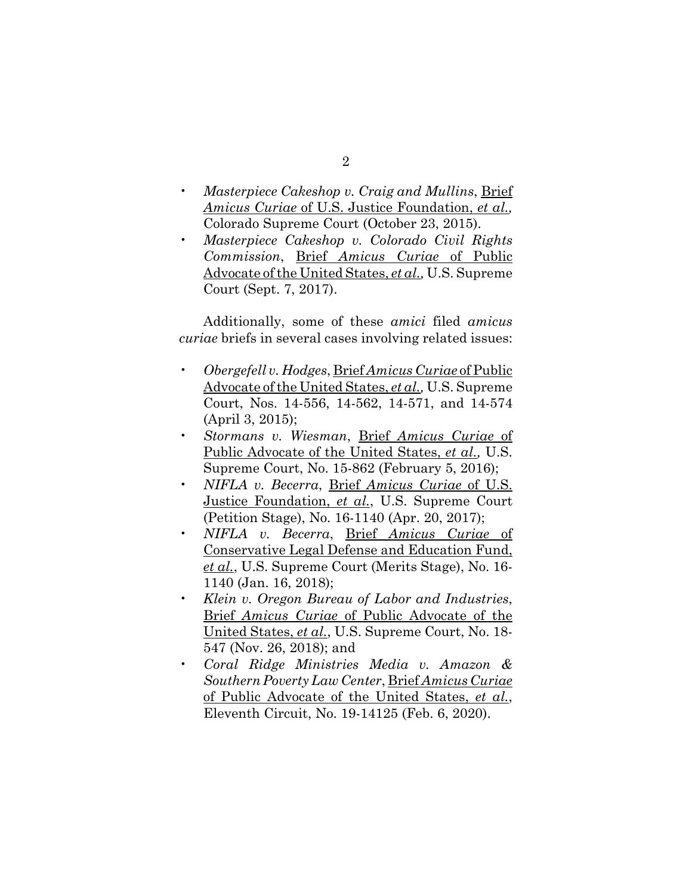- *Masterpiece Cakeshop v. Craig and Mullins*, Brief *Amicus Curiae* of U.S. Justice Foundation, *et al.,* Colorado Supreme Court (October 23, 2015).
- *Masterpiece Cakeshop v. Colorado Civil Rights Commission*, Brief *Amicus Curiae* of Public Advocate of the United States, *et al.,* U.S. Supreme Court (Sept. 7, 2017).

Additionally, some of these *amici* filed *amicus curiae* briefs in several cases involving related issues:

- *Obergefell v. Hodges*, Brief *Amicus Curiae* of Public Advocate of the United States, *et al.,* U.S. Supreme Court, Nos. 14-556, 14-562, 14-571, and 14-574 (April 3, 2015);
- *Stormans v. Wiesman*, Brief *Amicus Curiae* of Public Advocate of the United States, *et al.,* U.S. Supreme Court, No. 15-862 (February 5, 2016);
- *NIFLA v. Becerra*, Brief *Amicus Curiae* of U.S. Justice Foundation, *et al.*, U.S. Supreme Court (Petition Stage), No. 16-1140 (Apr. 20, 2017);
- *NIFLA v. Becerra*, Brief *Amicus Curiae* of Conservative Legal Defense and Education Fund, *et al.*, U.S. Supreme Court (Merits Stage), No. 16- 1140 (Jan. 16, 2018);
- *Klein v. Oregon Bureau of Labor and Industries*, Brief *Amicus Curiae* of Public Advocate of the United States, *et al.*, U.S. Supreme Court, No. 18- 547 (Nov. 26, 2018); and
- *Coral Ridge Ministries Media v. Amazon & Southern Poverty Law Center*, Brief *Amicus Curiae* of Public Advocate of the United States, *et al.*, Eleventh Circuit, No. 19-14125 (Feb. 6, 2020).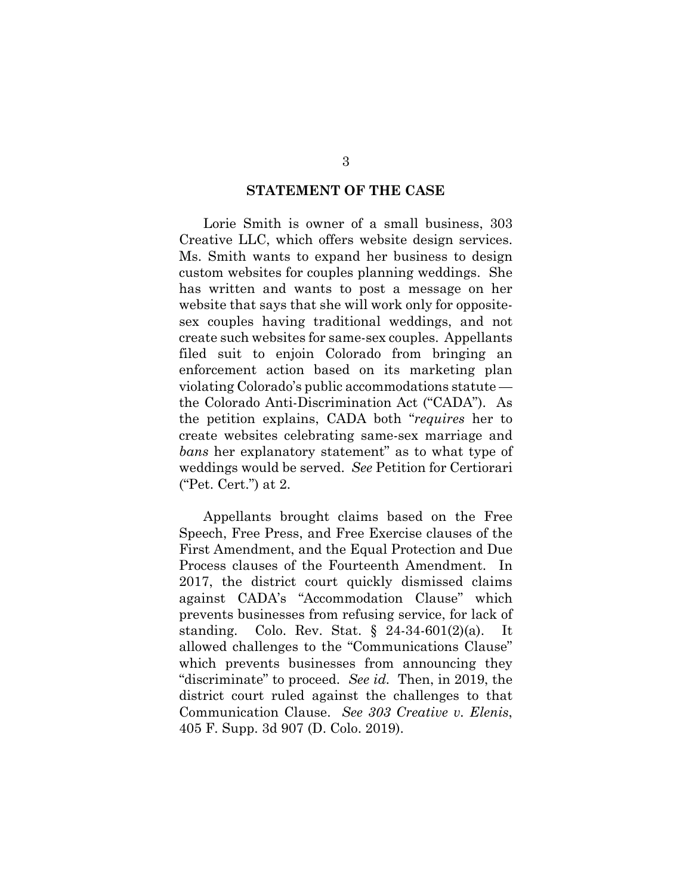#### **STATEMENT OF THE CASE**

Lorie Smith is owner of a small business, 303 Creative LLC, which offers website design services. Ms. Smith wants to expand her business to design custom websites for couples planning weddings. She has written and wants to post a message on her website that says that she will work only for oppositesex couples having traditional weddings, and not create such websites for same-sex couples. Appellants filed suit to enjoin Colorado from bringing an enforcement action based on its marketing plan violating Colorado's public accommodations statute the Colorado Anti-Discrimination Act ("CADA"). As the petition explains, CADA both "*requires* her to create websites celebrating same-sex marriage and *bans* her explanatory statement" as to what type of weddings would be served. *See* Petition for Certiorari ("Pet. Cert.") at 2.

Appellants brought claims based on the Free Speech, Free Press, and Free Exercise clauses of the First Amendment, and the Equal Protection and Due Process clauses of the Fourteenth Amendment. In 2017, the district court quickly dismissed claims against CADA's "Accommodation Clause" which prevents businesses from refusing service, for lack of standing. Colo. Rev. Stat. § 24-34-601(2)(a). It allowed challenges to the "Communications Clause" which prevents businesses from announcing they "discriminate" to proceed. *See id.* Then, in 2019, the district court ruled against the challenges to that Communication Clause. *See 303 Creative v. Elenis*, 405 F. Supp. 3d 907 (D. Colo. 2019).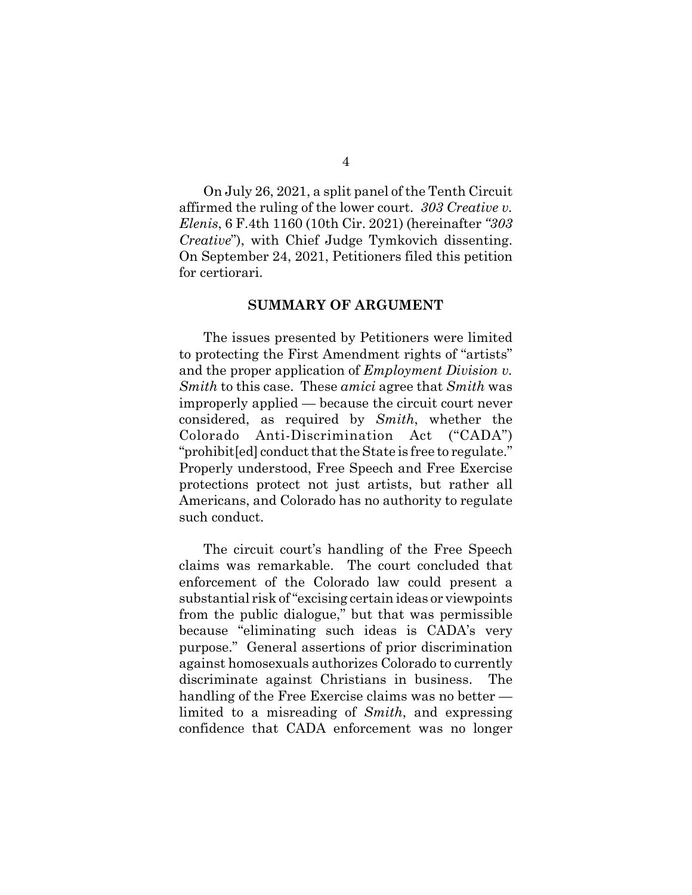On July 26, 2021, a split panel of the Tenth Circuit affirmed the ruling of the lower court. *303 Creative v. Elenis*, 6 F.4th 1160 (10th Cir. 2021) (hereinafter *"303 Creative*"), with Chief Judge Tymkovich dissenting. On September 24, 2021, Petitioners filed this petition for certiorari.

#### **SUMMARY OF ARGUMENT**

The issues presented by Petitioners were limited to protecting the First Amendment rights of "artists" and the proper application of *Employment Division v. Smith* to this case. These *amici* agree that *Smith* was improperly applied — because the circuit court never considered, as required by *Smith*, whether the Colorado Anti-Discrimination Act ("CADA") "prohibit[ed] conduct that the State is free to regulate." Properly understood, Free Speech and Free Exercise protections protect not just artists, but rather all Americans, and Colorado has no authority to regulate such conduct.

The circuit court's handling of the Free Speech claims was remarkable. The court concluded that enforcement of the Colorado law could present a substantial risk of "excising certain ideas or viewpoints from the public dialogue," but that was permissible because "eliminating such ideas is CADA's very purpose." General assertions of prior discrimination against homosexuals authorizes Colorado to currently discriminate against Christians in business. The handling of the Free Exercise claims was no better limited to a misreading of *Smith*, and expressing confidence that CADA enforcement was no longer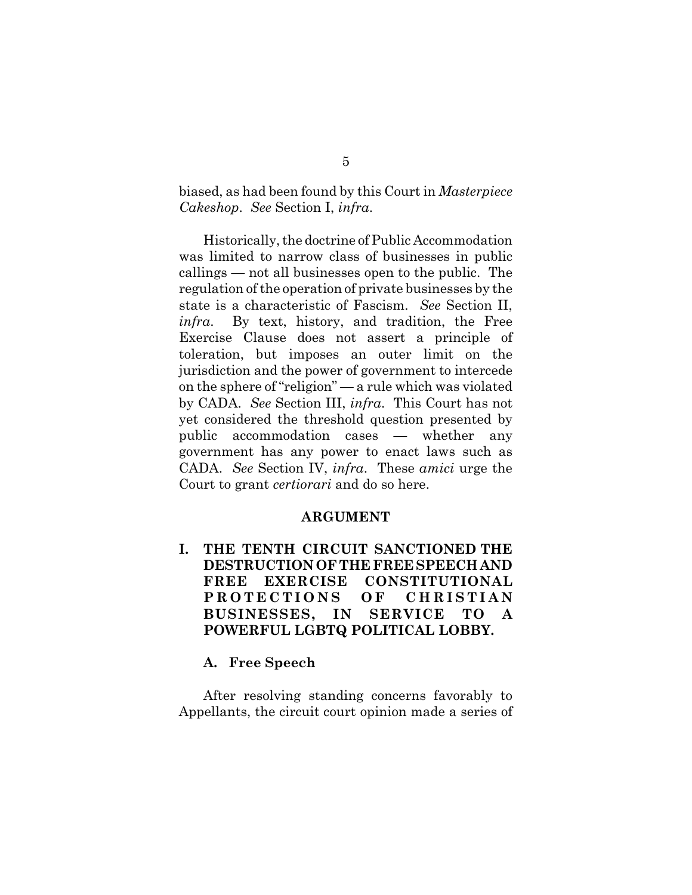biased, as had been found by this Court in *Masterpiece Cakeshop*. *See* Section I, *infra*.

Historically, the doctrine of Public Accommodation was limited to narrow class of businesses in public callings — not all businesses open to the public. The regulation of the operation of private businesses by the state is a characteristic of Fascism. *See* Section II, *infra*. By text, history, and tradition, the Free Exercise Clause does not assert a principle of toleration, but imposes an outer limit on the jurisdiction and the power of government to intercede on the sphere of "religion" — a rule which was violated by CADA. *See* Section III, *infra*. This Court has not yet considered the threshold question presented by public accommodation cases — whether any government has any power to enact laws such as CADA. *See* Section IV, *infra*. These *amici* urge the Court to grant *certiorari* and do so here.

### **ARGUMENT**

**I. THE TENTH CIRCUIT SANCTIONED THE DESTRUCTION OF THE FREE SPEECH AND FREE EXERCISE CONSTITUTIONAL PROTECTIONS OF CHRISTIAN BUSINESSES, IN SERVICE TO A POWERFUL LGBTQ POLITICAL LOBBY.**

#### **A. Free Speech**

After resolving standing concerns favorably to Appellants, the circuit court opinion made a series of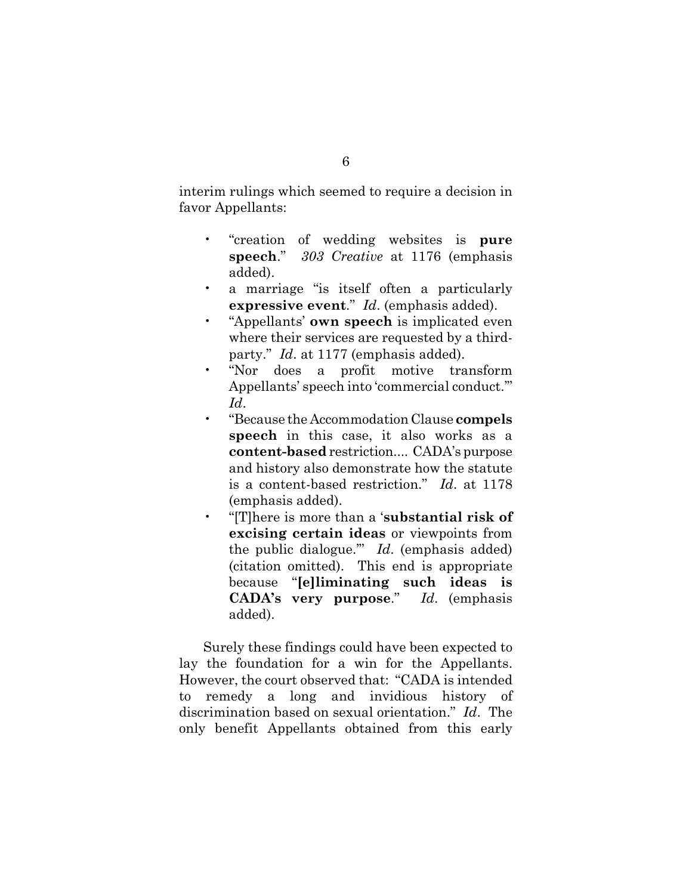interim rulings which seemed to require a decision in favor Appellants:

- "creation of wedding websites is **pure speech**." *303 Creative* at 1176 (emphasis added).
- a marriage "is itself often a particularly **expressive event**." *Id*. (emphasis added).
- "Appellants' **own speech** is implicated even where their services are requested by a thirdparty." *Id*. at 1177 (emphasis added).
- "Nor does a profit motive transform Appellants' speech into 'commercial conduct.'" *Id*.
- "Because the Accommodation Clause **compels speech** in this case, it also works as a **content-based** restriction.... CADA's purpose and history also demonstrate how the statute is a content-based restriction." *Id*. at 1178 (emphasis added).
- "[T]here is more than a '**substantial risk of excising certain ideas** or viewpoints from the public dialogue.'" *Id*. (emphasis added) (citation omitted). This end is appropriate because "**[e]liminating such ideas is CADA's very purpose**." *Id*. (emphasis added).

Surely these findings could have been expected to lay the foundation for a win for the Appellants. However, the court observed that: "CADA is intended to remedy a long and invidious history of discrimination based on sexual orientation." *Id*. The only benefit Appellants obtained from this early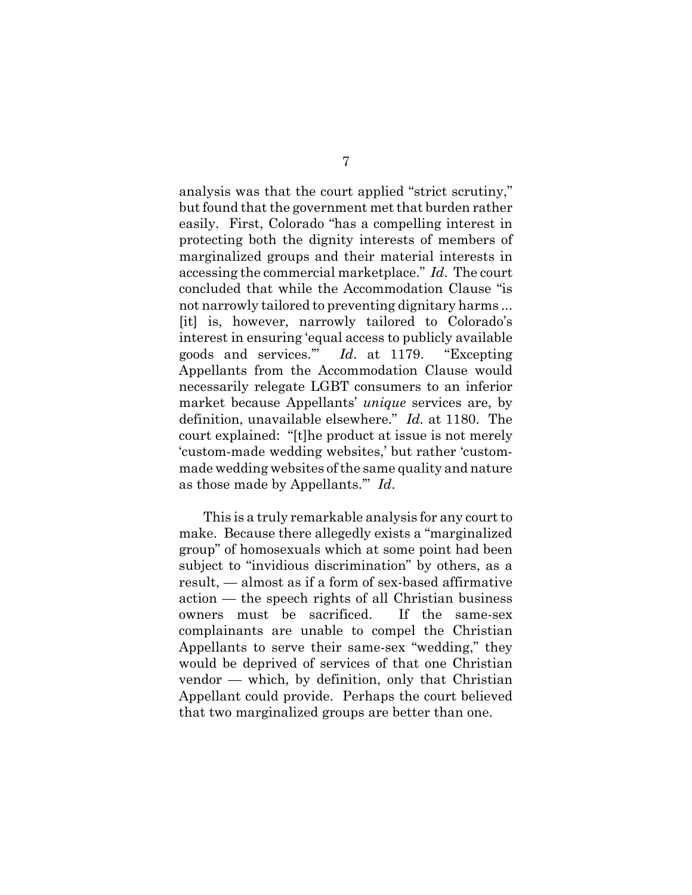analysis was that the court applied "strict scrutiny," but found that the government met that burden rather easily. First, Colorado "has a compelling interest in protecting both the dignity interests of members of marginalized groups and their material interests in accessing the commercial marketplace." *Id*. The court concluded that while the Accommodation Clause "is not narrowly tailored to preventing dignitary harms ... [it] is, however, narrowly tailored to Colorado's interest in ensuring 'equal access to publicly available goods and services.'" *Id*. at 1179. "Excepting Appellants from the Accommodation Clause would necessarily relegate LGBT consumers to an inferior market because Appellants' *unique* services are, by definition, unavailable elsewhere." *Id.* at 1180. The court explained: "[t]he product at issue is not merely 'custom-made wedding websites,' but rather 'custommade wedding websites of the same quality and nature as those made by Appellants.'" *Id*.

This is a truly remarkable analysis for any court to make. Because there allegedly exists a "marginalized group" of homosexuals which at some point had been subject to "invidious discrimination" by others, as a result, — almost as if a form of sex-based affirmative action — the speech rights of all Christian business owners must be sacrificed. If the same-sex complainants are unable to compel the Christian Appellants to serve their same-sex "wedding," they would be deprived of services of that one Christian vendor — which, by definition, only that Christian Appellant could provide. Perhaps the court believed that two marginalized groups are better than one.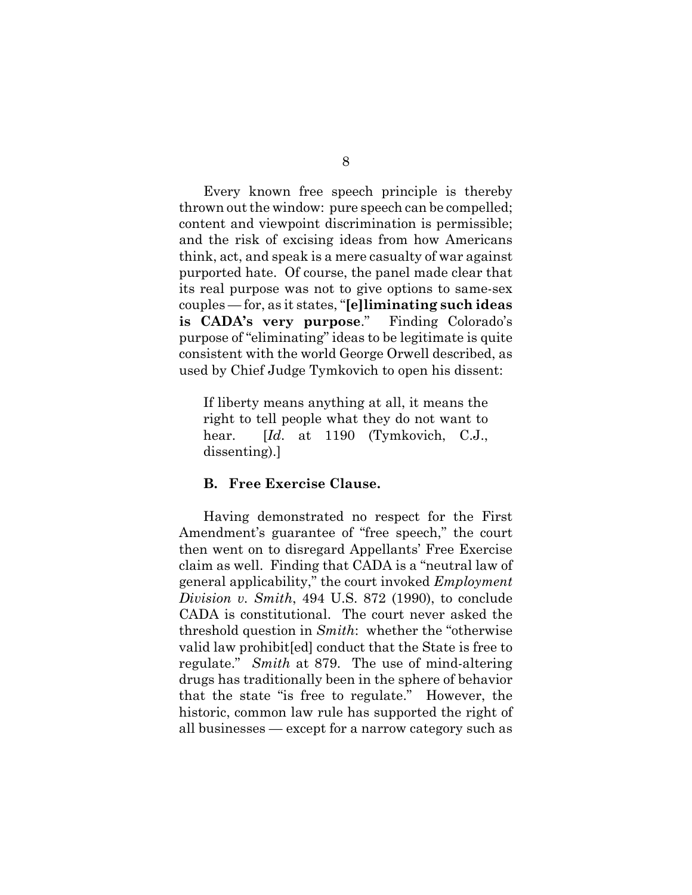Every known free speech principle is thereby thrown out the window: pure speech can be compelled; content and viewpoint discrimination is permissible; and the risk of excising ideas from how Americans think, act, and speak is a mere casualty of war against purported hate. Of course, the panel made clear that its real purpose was not to give options to same-sex couples — for, as it states, "**[e]liminating such ideas is CADA's very purpose**." Finding Colorado's purpose of "eliminating" ideas to be legitimate is quite consistent with the world George Orwell described, as used by Chief Judge Tymkovich to open his dissent:

If liberty means anything at all, it means the right to tell people what they do not want to hear. *[Id.* at 1190 (Tymkovich, C.J., dissenting).]

### **B. Free Exercise Clause.**

Having demonstrated no respect for the First Amendment's guarantee of "free speech," the court then went on to disregard Appellants' Free Exercise claim as well. Finding that CADA is a "neutral law of general applicability," the court invoked *Employment Division v. Smith*, 494 U.S. 872 (1990), to conclude CADA is constitutional. The court never asked the threshold question in *Smith*: whether the "otherwise valid law prohibit[ed] conduct that the State is free to regulate." *Smith* at 879. The use of mind-altering drugs has traditionally been in the sphere of behavior that the state "is free to regulate." However, the historic, common law rule has supported the right of all businesses — except for a narrow category such as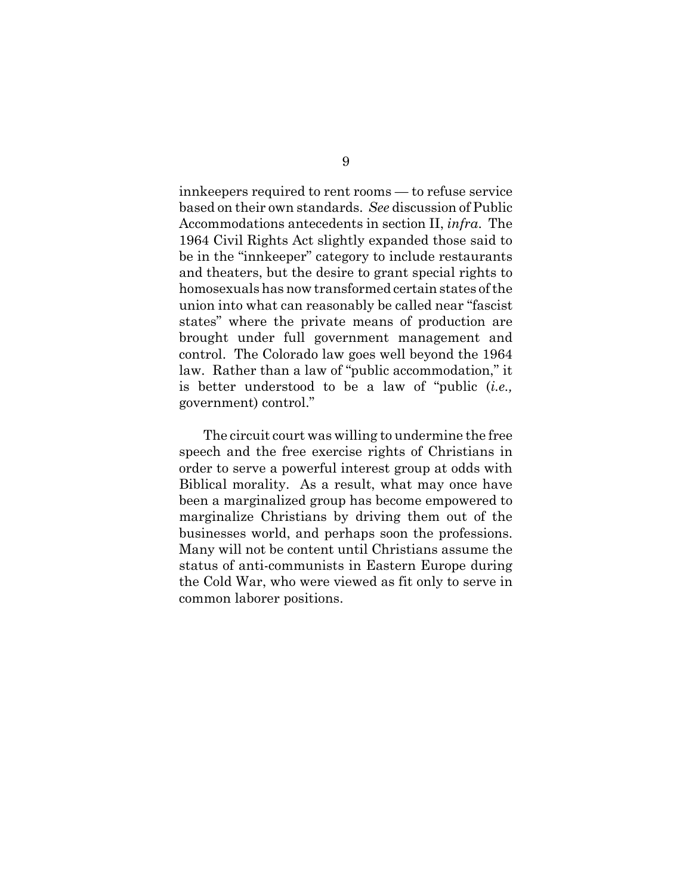innkeepers required to rent rooms — to refuse service based on their own standards. *See* discussion of Public Accommodations antecedents in section II, *infra*. The 1964 Civil Rights Act slightly expanded those said to be in the "innkeeper" category to include restaurants and theaters, but the desire to grant special rights to homosexuals has now transformed certain states of the union into what can reasonably be called near "fascist states" where the private means of production are brought under full government management and control. The Colorado law goes well beyond the 1964 law. Rather than a law of "public accommodation," it is better understood to be a law of "public (*i.e.,* government) control."

The circuit court was willing to undermine the free speech and the free exercise rights of Christians in order to serve a powerful interest group at odds with Biblical morality. As a result, what may once have been a marginalized group has become empowered to marginalize Christians by driving them out of the businesses world, and perhaps soon the professions. Many will not be content until Christians assume the status of anti-communists in Eastern Europe during the Cold War, who were viewed as fit only to serve in common laborer positions.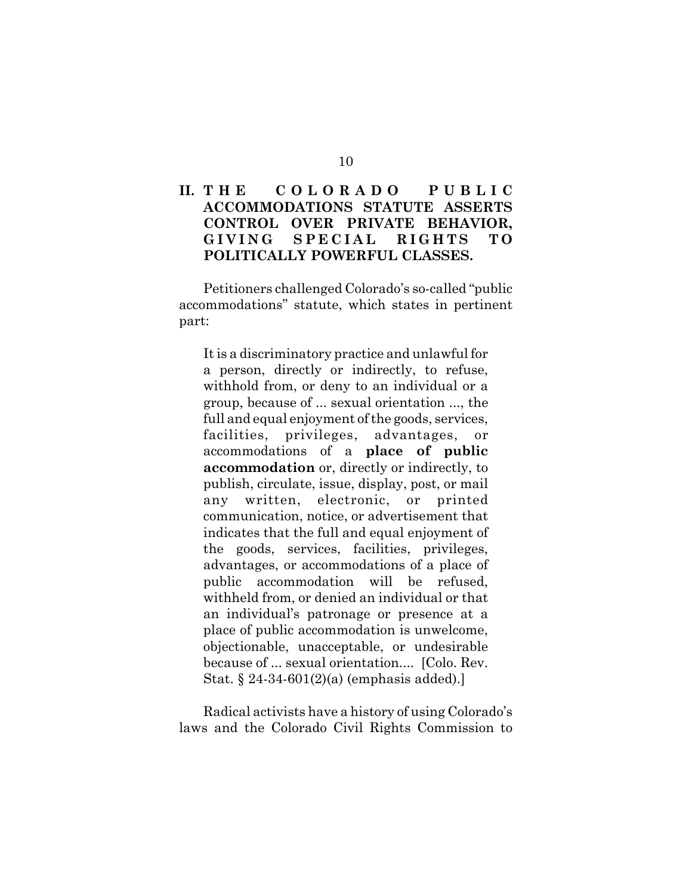## **II. T H E C O L O R A D O P U B L I C ACCOMMODATIONS STATUTE ASSERTS CONTROL OVER PRIVATE BEHAVIOR, GIVING SPECIAL RIGHTS TO POLITICALLY POWERFUL CLASSES.**

Petitioners challenged Colorado's so-called "public accommodations" statute, which states in pertinent part:

It is a discriminatory practice and unlawful for a person, directly or indirectly, to refuse, withhold from, or deny to an individual or a group, because of ... sexual orientation ..., the full and equal enjoyment of the goods, services, facilities, privileges, advantages, or accommodations of a **place of public accommodation** or, directly or indirectly, to publish, circulate, issue, display, post, or mail any written, electronic, or printed communication, notice, or advertisement that indicates that the full and equal enjoyment of the goods, services, facilities, privileges, advantages, or accommodations of a place of public accommodation will be refused, withheld from, or denied an individual or that an individual's patronage or presence at a place of public accommodation is unwelcome, objectionable, unacceptable, or undesirable because of ... sexual orientation.... [Colo. Rev. Stat. § 24-34-601(2)(a) (emphasis added).]

Radical activists have a history of using Colorado's laws and the Colorado Civil Rights Commission to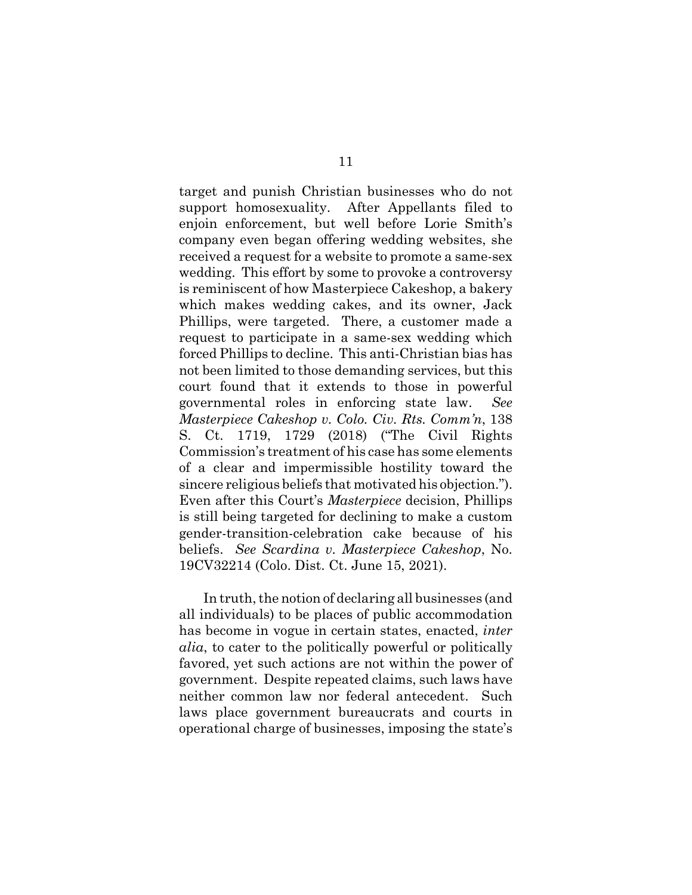target and punish Christian businesses who do not support homosexuality. After Appellants filed to enjoin enforcement, but well before Lorie Smith's company even began offering wedding websites, she received a request for a website to promote a same-sex wedding. This effort by some to provoke a controversy is reminiscent of how Masterpiece Cakeshop, a bakery which makes wedding cakes, and its owner, Jack Phillips, were targeted. There, a customer made a request to participate in a same-sex wedding which forced Phillips to decline. This anti-Christian bias has not been limited to those demanding services, but this court found that it extends to those in powerful governmental roles in enforcing state law. *See Masterpiece Cakeshop v. Colo. Civ. Rts. Comm'n*, 138 S. Ct. 1719, 1729 (2018) ("The Civil Rights Commission's treatment of his case has some elements of a clear and impermissible hostility toward the sincere religious beliefs that motivated his objection."). Even after this Court's *Masterpiece* decision, Phillips is still being targeted for declining to make a custom gender-transition-celebration cake because of his beliefs. *See Scardina v. Masterpiece Cakeshop*, No. 19CV32214 (Colo. Dist. Ct. June 15, 2021).

In truth, the notion of declaring all businesses (and all individuals) to be places of public accommodation has become in vogue in certain states, enacted, *inter alia*, to cater to the politically powerful or politically favored, yet such actions are not within the power of government. Despite repeated claims, such laws have neither common law nor federal antecedent. Such laws place government bureaucrats and courts in operational charge of businesses, imposing the state's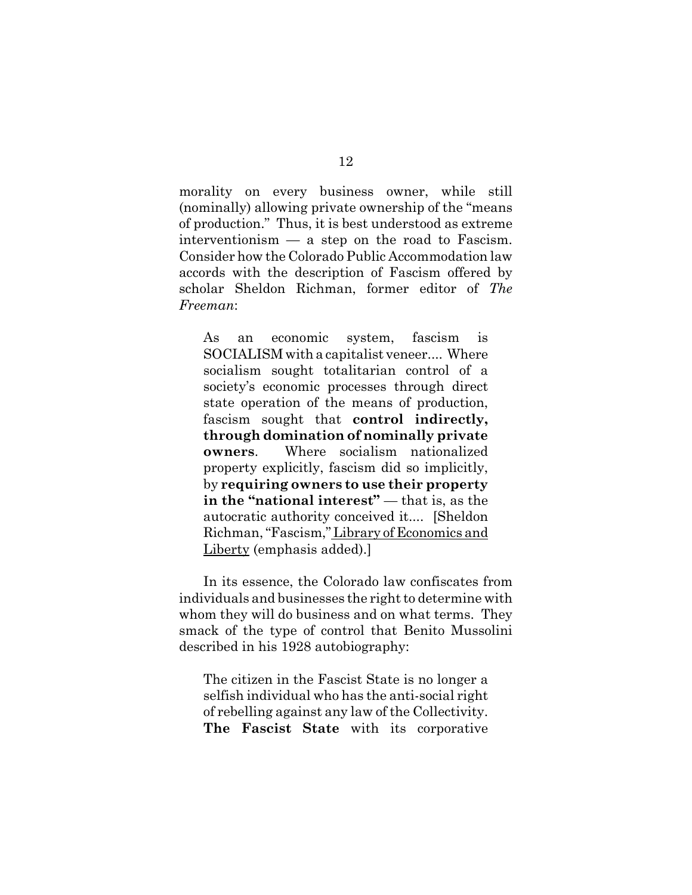morality on every business owner, while still (nominally) allowing private ownership of the "means of production." Thus, it is best understood as extreme interventionism — a step on the road to Fascism. Consider how the Colorado Public Accommodation law accords with the description of Fascism offered by scholar Sheldon Richman, former editor of *The Freeman*:

As an economic system, fascism is SOCIALISM with a capitalist veneer.... Where socialism sought totalitarian control of a society's economic processes through direct state operation of the means of production, fascism sought that **control indirectly, through domination of nominally private owners**. Where socialism nationalized property explicitly, fascism did so implicitly, by **requiring owners to use their property in the "national interest"** — that is, as the autocratic authority conceived it.... [Sheldon Richman, "Fascism," Library of Economics and Liberty (emphasis added).]

In its essence, the Colorado law confiscates from individuals and businesses the right to determine with whom they will do business and on what terms. They smack of the type of control that Benito Mussolini described in his 1928 autobiography:

The citizen in the Fascist State is no longer a selfish individual who has the anti-social right of rebelling against any law of the Collectivity. **The Fascist State** with its corporative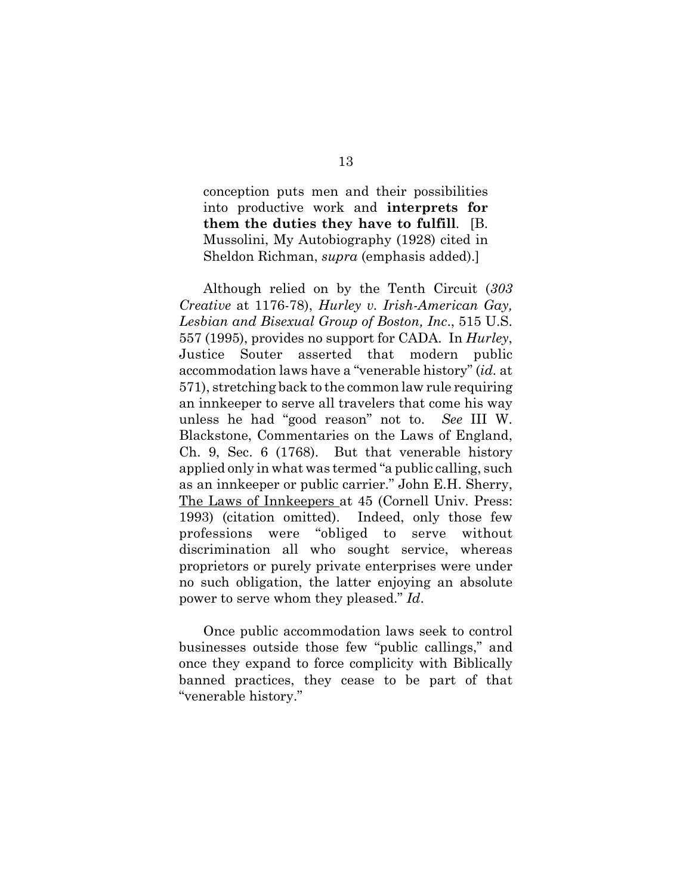conception puts men and their possibilities into productive work and **interprets for them the duties they have to fulfill**. [B. Mussolini, My Autobiography (1928) cited in Sheldon Richman, *supra* (emphasis added).]

Although relied on by the Tenth Circuit (*303 Creative* at 1176-78), *Hurley v. Irish-American Gay, Lesbian and Bisexual Group of Boston, Inc*., 515 U.S. 557 (1995), provides no support for CADA. In *Hurley*, Justice Souter asserted that modern public accommodation laws have a "venerable history" (*id.* at 571), stretching back to the common law rule requiring an innkeeper to serve all travelers that come his way unless he had "good reason" not to. *See* III W. Blackstone, Commentaries on the Laws of England, Ch. 9, Sec. 6 (1768). But that venerable history applied only in what was termed "a public calling, such as an innkeeper or public carrier." John E.H. Sherry, The Laws of Innkeepers at 45 (Cornell Univ. Press: 1993) (citation omitted). Indeed, only those few professions were "obliged to serve without discrimination all who sought service, whereas proprietors or purely private enterprises were under no such obligation, the latter enjoying an absolute power to serve whom they pleased." *Id*.

Once public accommodation laws seek to control businesses outside those few "public callings," and once they expand to force complicity with Biblically banned practices, they cease to be part of that "venerable history."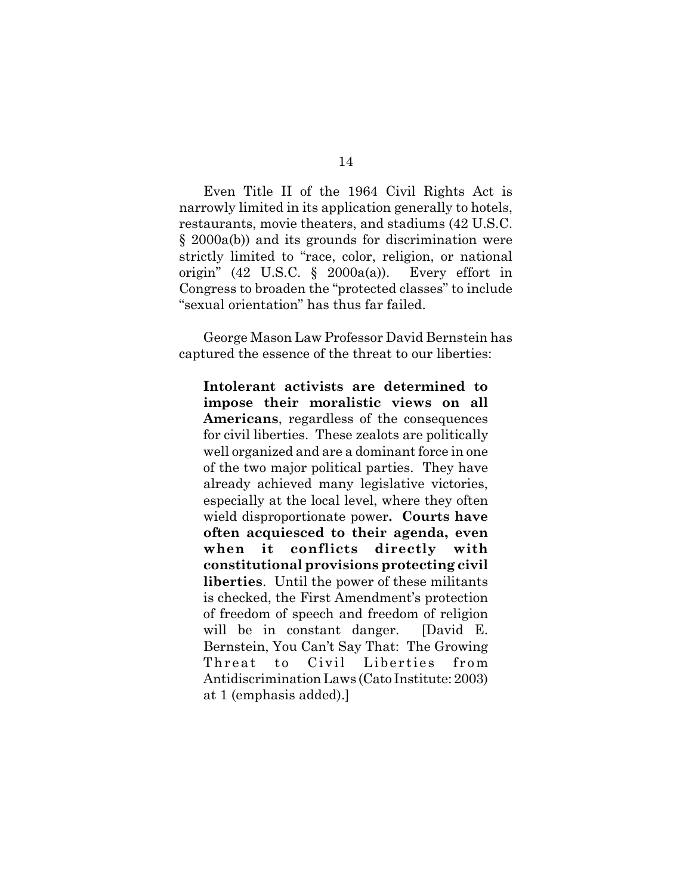Even Title II of the 1964 Civil Rights Act is narrowly limited in its application generally to hotels, restaurants, movie theaters, and stadiums (42 U.S.C. § 2000a(b)) and its grounds for discrimination were strictly limited to "race, color, religion, or national origin" (42 U.S.C.  $\S$  2000a(a)). Every effort in Congress to broaden the "protected classes" to include "sexual orientation" has thus far failed.

George Mason Law Professor David Bernstein has captured the essence of the threat to our liberties:

**Intolerant activists are determined to impose their moralistic views on all Americans**, regardless of the consequences for civil liberties. These zealots are politically well organized and are a dominant force in one of the two major political parties. They have already achieved many legislative victories, especially at the local level, where they often wield disproportionate power**. Courts have often acquiesced to their agenda, even when it conflicts directly with constitutional provisions protecting civil liberties**. Until the power of these militants is checked, the First Amendment's protection of freedom of speech and freedom of religion will be in constant danger. [David E. Bernstein, You Can't Say That: The Growing Threat to Civil Liberties from Antidiscrimination Laws (Cato Institute: 2003) at 1 (emphasis added).]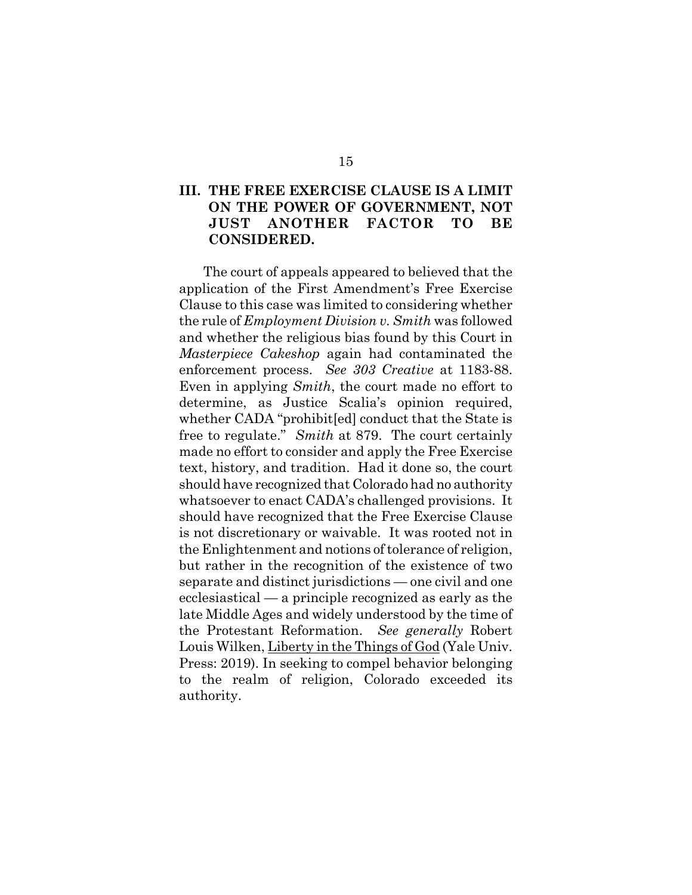## **III. THE FREE EXERCISE CLAUSE IS A LIMIT ON THE POWER OF GOVERNMENT, NOT JUST ANOTHER FACTOR TO BE CONSIDERED.**

The court of appeals appeared to believed that the application of the First Amendment's Free Exercise Clause to this case was limited to considering whether the rule of *Employment Division v. Smith* was followed and whether the religious bias found by this Court in *Masterpiece Cakeshop* again had contaminated the enforcement process. *See 303 Creative* at 1183-88. Even in applying *Smith*, the court made no effort to determine, as Justice Scalia's opinion required, whether CADA "prohibit[ed] conduct that the State is free to regulate." *Smith* at 879. The court certainly made no effort to consider and apply the Free Exercise text, history, and tradition. Had it done so, the court should have recognized that Colorado had no authority whatsoever to enact CADA's challenged provisions. It should have recognized that the Free Exercise Clause is not discretionary or waivable. It was rooted not in the Enlightenment and notions of tolerance of religion, but rather in the recognition of the existence of two separate and distinct jurisdictions — one civil and one ecclesiastical — a principle recognized as early as the late Middle Ages and widely understood by the time of the Protestant Reformation. *See generally* Robert Louis Wilken, Liberty in the Things of God (Yale Univ. Press: 2019). In seeking to compel behavior belonging to the realm of religion, Colorado exceeded its authority.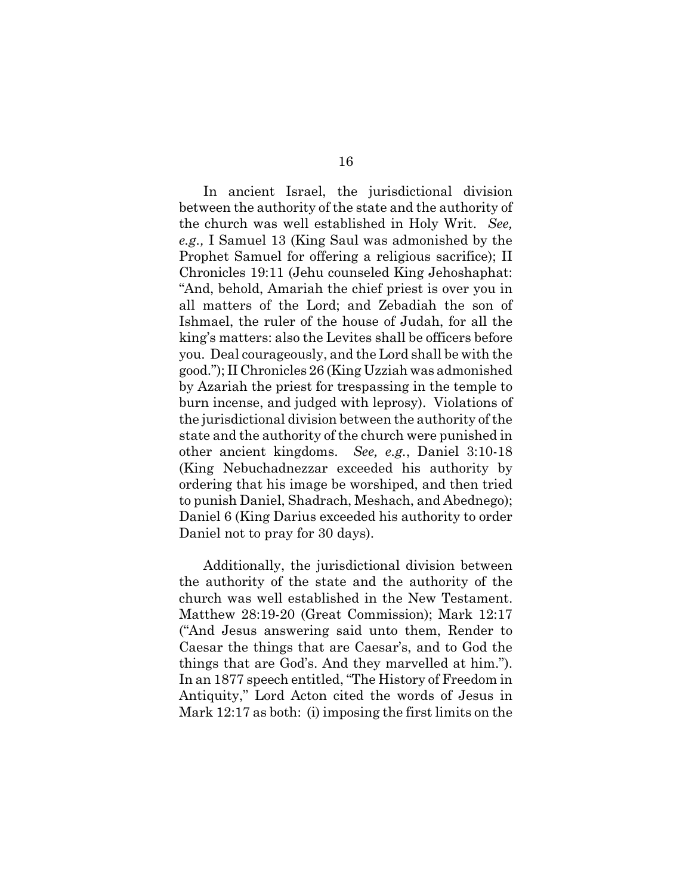In ancient Israel, the jurisdictional division between the authority of the state and the authority of the church was well established in Holy Writ. *See, e.g.,* I Samuel 13 (King Saul was admonished by the Prophet Samuel for offering a religious sacrifice); II Chronicles 19:11 (Jehu counseled King Jehoshaphat: "And, behold, Amariah the chief priest is over you in all matters of the Lord; and Zebadiah the son of Ishmael, the ruler of the house of Judah, for all the king's matters: also the Levites shall be officers before you. Deal courageously, and the Lord shall be with the good."); II Chronicles 26 (King Uzziah was admonished by Azariah the priest for trespassing in the temple to burn incense, and judged with leprosy). Violations of the jurisdictional division between the authority of the state and the authority of the church were punished in other ancient kingdoms. *See, e.g.*, Daniel 3:10-18 (King Nebuchadnezzar exceeded his authority by ordering that his image be worshiped, and then tried to punish Daniel, Shadrach, Meshach, and Abednego); Daniel 6 (King Darius exceeded his authority to order Daniel not to pray for 30 days).

Additionally, the jurisdictional division between the authority of the state and the authority of the church was well established in the New Testament. Matthew 28:19-20 (Great Commission); Mark 12:17 ("And Jesus answering said unto them, Render to Caesar the things that are Caesar's, and to God the things that are God's. And they marvelled at him."). In an 1877 speech entitled, "The History of Freedom in Antiquity," Lord Acton cited the words of Jesus in Mark 12:17 as both: (i) imposing the first limits on the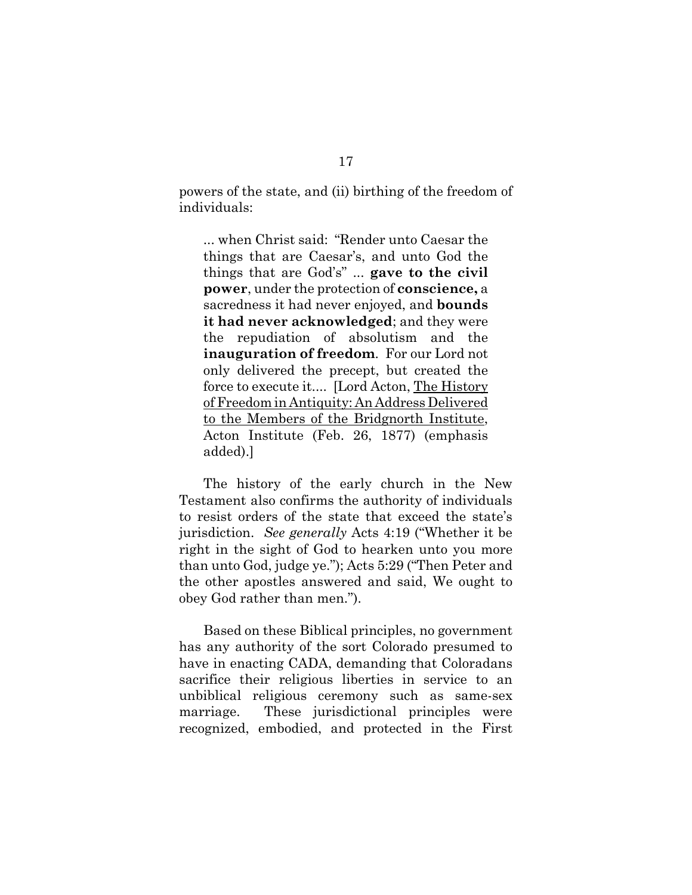powers of the state, and (ii) birthing of the freedom of individuals:

... when Christ said: "Render unto Caesar the things that are Caesar's, and unto God the things that are God's" ... **gave to the civil power**, under the protection of **conscience,** a sacredness it had never enjoyed, and **bounds it had never acknowledged**; and they were the repudiation of absolutism and the **inauguration of freedom**. For our Lord not only delivered the precept, but created the force to execute it.... [Lord Acton, The History of Freedom in Antiquity: An Address Delivered to the Members of the Bridgnorth Institute, Acton Institute (Feb. 26, 1877) (emphasis added).]

The history of the early church in the New Testament also confirms the authority of individuals to resist orders of the state that exceed the state's jurisdiction. *See generally* Acts 4:19 ("Whether it be right in the sight of God to hearken unto you more than unto God, judge ye."); Acts 5:29 ("Then Peter and the other apostles answered and said, We ought to obey God rather than men.").

Based on these Biblical principles, no government has any authority of the sort Colorado presumed to have in enacting CADA, demanding that Coloradans sacrifice their religious liberties in service to an unbiblical religious ceremony such as same-sex marriage. These jurisdictional principles were recognized, embodied, and protected in the First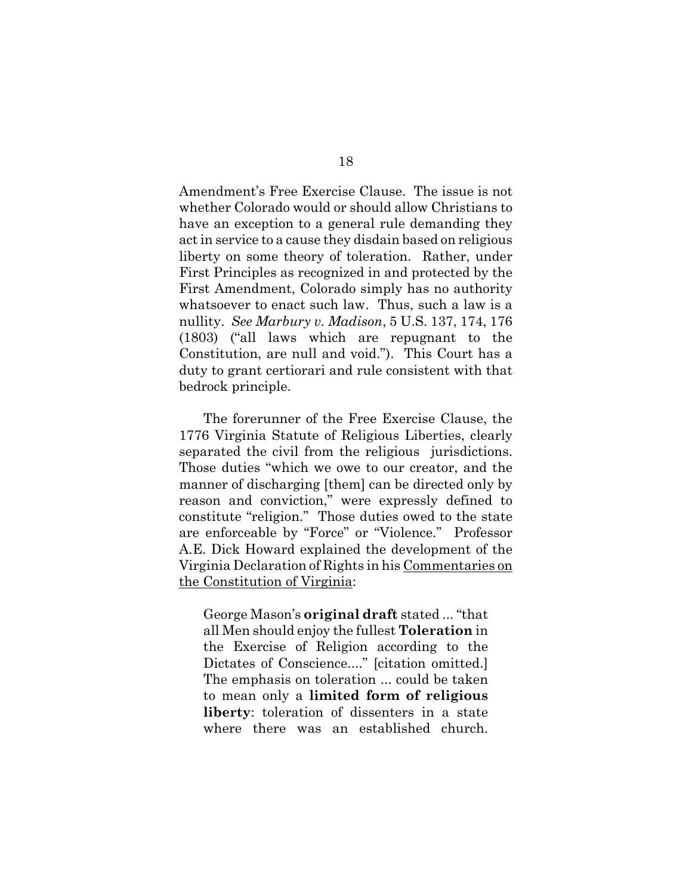Amendment's Free Exercise Clause. The issue is not whether Colorado would or should allow Christians to have an exception to a general rule demanding they act in service to a cause they disdain based on religious liberty on some theory of toleration. Rather, under First Principles as recognized in and protected by the First Amendment, Colorado simply has no authority whatsoever to enact such law. Thus, such a law is a nullity. *See Marbury v. Madison*, 5 U.S. 137, 174, 176 (1803) ("all laws which are repugnant to the Constitution, are null and void."). This Court has a duty to grant certiorari and rule consistent with that bedrock principle.

The forerunner of the Free Exercise Clause, the 1776 Virginia Statute of Religious Liberties, clearly separated the civil from the religious jurisdictions. Those duties "which we owe to our creator, and the manner of discharging [them] can be directed only by reason and conviction," were expressly defined to constitute "religion." Those duties owed to the state are enforceable by "Force" or "Violence." Professor A.E. Dick Howard explained the development of the Virginia Declaration of Rights in his Commentaries on the Constitution of Virginia:

George Mason's **original draft** stated ... "that all Men should enjoy the fullest **Toleration** in the Exercise of Religion according to the Dictates of Conscience...." [citation omitted.] The emphasis on toleration ... could be taken to mean only a **limited form of religious liberty**: toleration of dissenters in a state where there was an established church.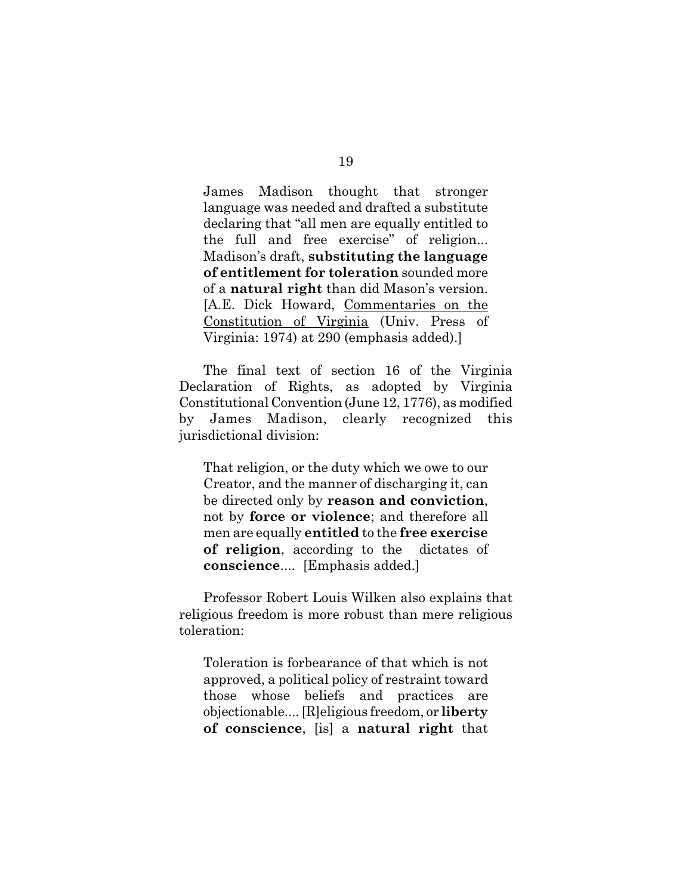James Madison thought that stronger language was needed and drafted a substitute declaring that "all men are equally entitled to the full and free exercise" of religion... Madison's draft, **substituting the language of entitlement for toleration** sounded more of a **natural right** than did Mason's version. [A.E. Dick Howard, Commentaries on the Constitution of Virginia (Univ. Press of Virginia: 1974) at 290 (emphasis added).]

The final text of section 16 of the Virginia Declaration of Rights, as adopted by Virginia Constitutional Convention (June 12, 1776), as modified by James Madison, clearly recognized this jurisdictional division:

That religion, or the duty which we owe to our Creator, and the manner of discharging it, can be directed only by **reason and conviction**, not by **force or violence**; and therefore all men are equally **entitled** to the **free exercise of religion**, according to the dictates of **conscience**.... [Emphasis added.]

Professor Robert Louis Wilken also explains that religious freedom is more robust than mere religious toleration:

Toleration is forbearance of that which is not approved, a political policy of restraint toward those whose beliefs and practices are objectionable.... [R]eligious freedom, or **liberty of conscience**, [is] a **natural right** that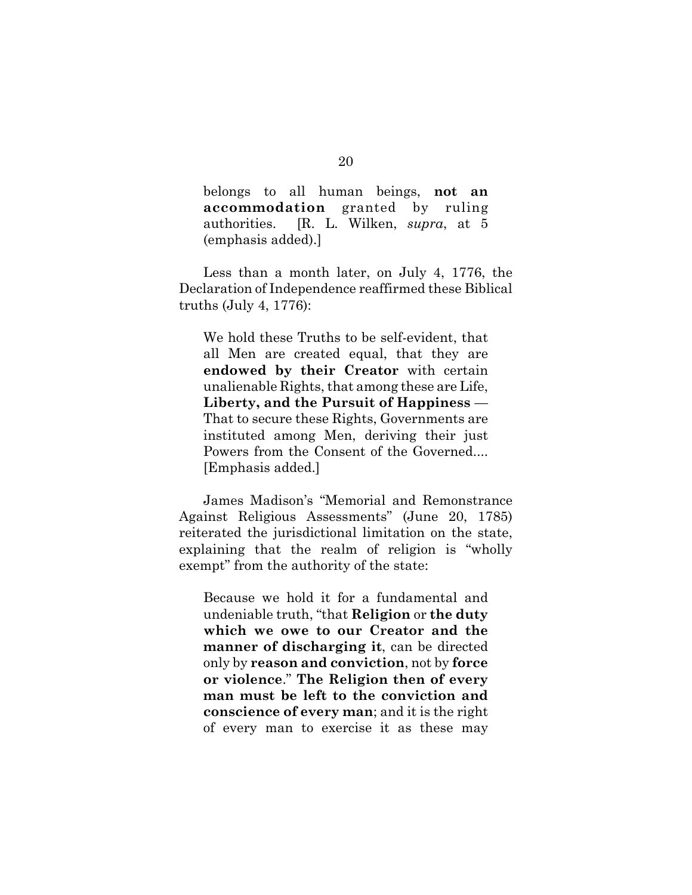belongs to all human beings, **not an accommodation** granted by ruling authorities. [R. L. Wilken, *supra*, at 5 (emphasis added).]

Less than a month later, on July 4, 1776, the Declaration of Independence reaffirmed these Biblical truths (July 4, 1776):

We hold these Truths to be self-evident, that all Men are created equal, that they are **endowed by their Creator** with certain unalienable Rights, that among these are Life, **Liberty, and the Pursuit of Happiness** — That to secure these Rights, Governments are instituted among Men, deriving their just Powers from the Consent of the Governed.... [Emphasis added.]

James Madison's "Memorial and Remonstrance Against Religious Assessments" (June 20, 1785) reiterated the jurisdictional limitation on the state, explaining that the realm of religion is "wholly exempt" from the authority of the state:

Because we hold it for a fundamental and undeniable truth, "that **Religion** or **the duty which we owe to our Creator and the manner of discharging it**, can be directed only by **reason and conviction**, not by **force or violence**." **The Religion then of every man must be left to the conviction and conscience of every man**; and it is the right of every man to exercise it as these may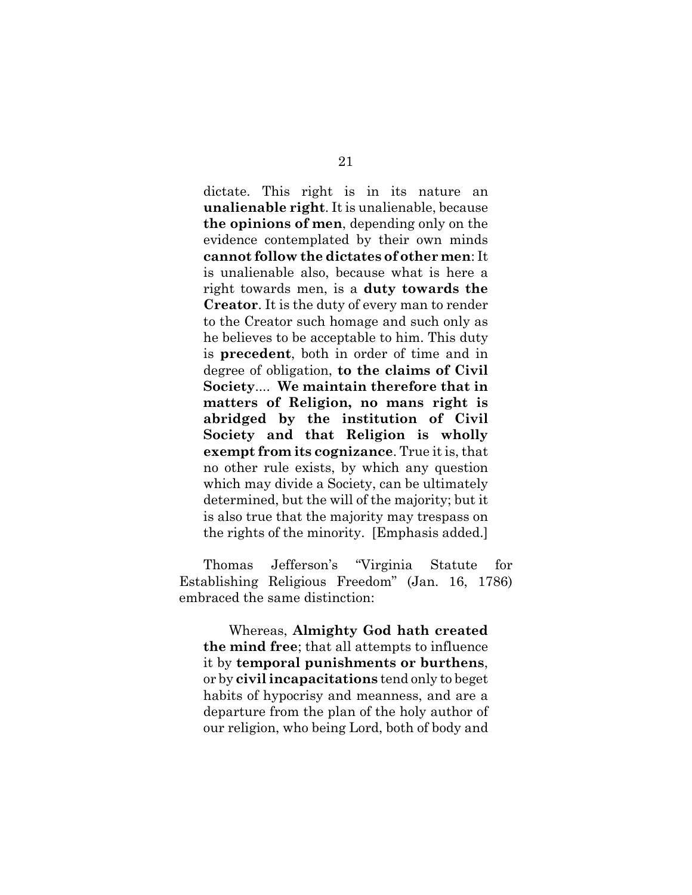dictate. This right is in its nature an **unalienable right**. It is unalienable, because **the opinions of men**, depending only on the evidence contemplated by their own minds **cannot follow the dictates of other men**: It is unalienable also, because what is here a right towards men, is a **duty towards the Creator**. It is the duty of every man to render to the Creator such homage and such only as he believes to be acceptable to him. This duty is **precedent**, both in order of time and in degree of obligation, **to the claims of Civil Society**.... **We maintain therefore that in matters of Religion, no mans right is abridged by the institution of Civil Society and that Religion is wholly exempt from its cognizance**. True it is, that no other rule exists, by which any question which may divide a Society, can be ultimately determined, but the will of the majority; but it is also true that the majority may trespass on the rights of the minority. [Emphasis added.]

Thomas Jefferson's "Virginia Statute for Establishing Religious Freedom" (Jan. 16, 1786) embraced the same distinction:

Whereas, **Almighty God hath created the mind free**; that all attempts to influence it by **temporal punishments or burthens**, or by **civil incapacitations** tend only to beget habits of hypocrisy and meanness, and are a departure from the plan of the holy author of our religion, who being Lord, both of body and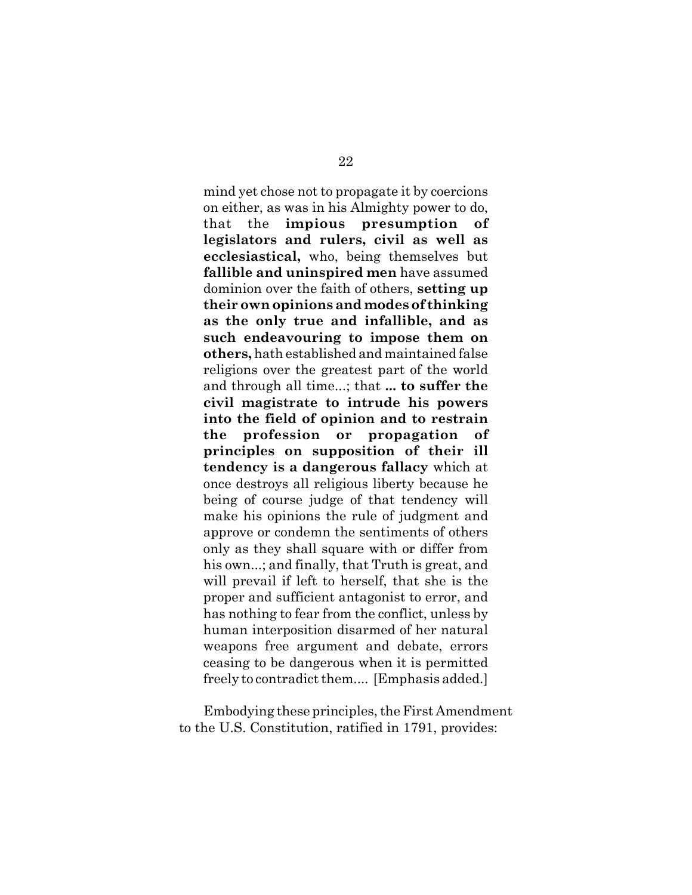mind yet chose not to propagate it by coercions on either, as was in his Almighty power to do, that the **impious presumption of legislators and rulers, civil as well as ecclesiastical,** who, being themselves but **fallible and uninspired men** have assumed dominion over the faith of others, **setting up their own opinions and modes of thinking as the only true and infallible, and as such endeavouring to impose them on others,** hath established and maintained false religions over the greatest part of the world and through all time...; that **... to suffer the civil magistrate to intrude his powers into the field of opinion and to restrain the profession or propagation of principles on supposition of their ill tendency is a dangerous fallacy** which at once destroys all religious liberty because he being of course judge of that tendency will make his opinions the rule of judgment and approve or condemn the sentiments of others only as they shall square with or differ from his own...; and finally, that Truth is great, and will prevail if left to herself, that she is the proper and sufficient antagonist to error, and has nothing to fear from the conflict, unless by human interposition disarmed of her natural weapons free argument and debate, errors ceasing to be dangerous when it is permitted freely to contradict them.... [Emphasis added.]

Embodying these principles, the First Amendment to the U.S. Constitution, ratified in 1791, provides: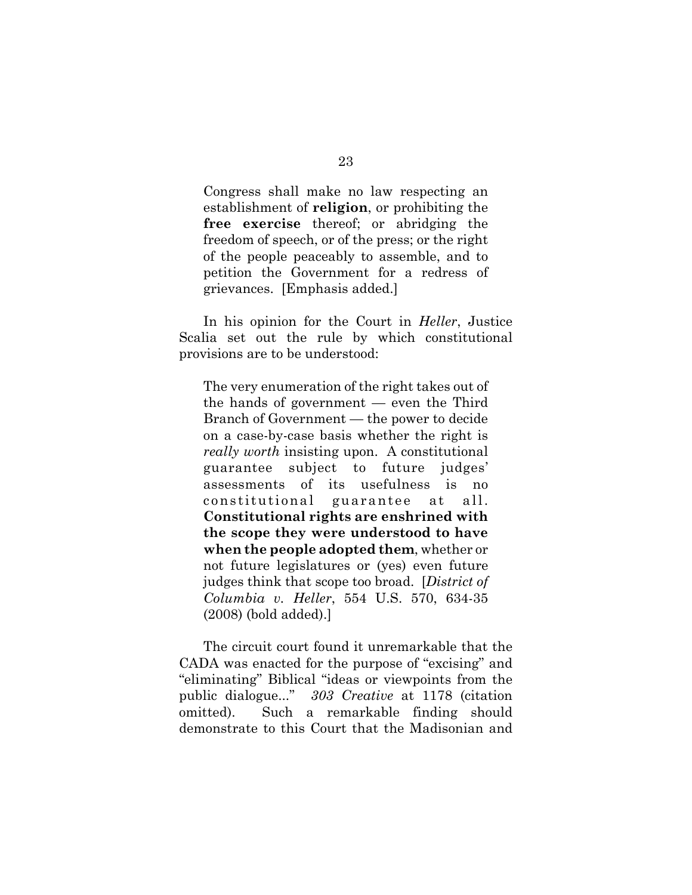Congress shall make no law respecting an establishment of **religion**, or prohibiting the **free exercise** thereof; or abridging the freedom of speech, or of the press; or the right of the people peaceably to assemble, and to petition the Government for a redress of grievances. [Emphasis added.]

In his opinion for the Court in *Heller*, Justice Scalia set out the rule by which constitutional provisions are to be understood:

The very enumeration of the right takes out of the hands of government — even the Third Branch of Government — the power to decide on a case-by-case basis whether the right is *really worth* insisting upon. A constitutional guarantee subject to future judges' assessments of its usefulness is no constitutional guarantee at all. **Constitutional rights are enshrined with the scope they were understood to have when the people adopted them**, whether or not future legislatures or (yes) even future judges think that scope too broad. [*District of Columbia v. Heller*, 554 U.S. 570, 634-35 (2008) (bold added).]

The circuit court found it unremarkable that the CADA was enacted for the purpose of "excising" and "eliminating" Biblical "ideas or viewpoints from the public dialogue..." *303 Creative* at 1178 (citation omitted). Such a remarkable finding should demonstrate to this Court that the Madisonian and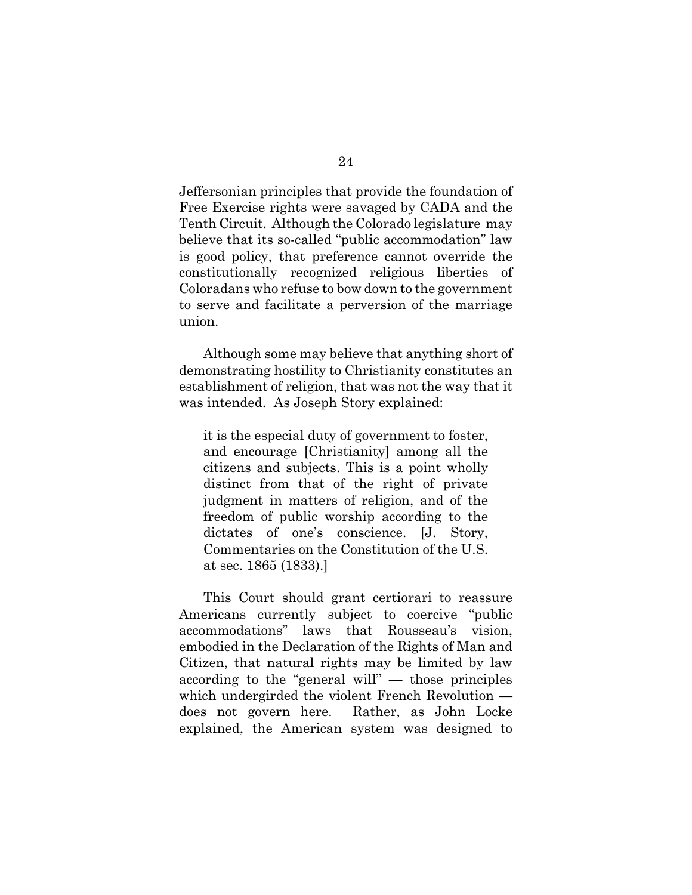Jeffersonian principles that provide the foundation of Free Exercise rights were savaged by CADA and the Tenth Circuit. Although the Colorado legislature may believe that its so-called "public accommodation" law is good policy, that preference cannot override the constitutionally recognized religious liberties of Coloradans who refuse to bow down to the government to serve and facilitate a perversion of the marriage union.

Although some may believe that anything short of demonstrating hostility to Christianity constitutes an establishment of religion, that was not the way that it was intended. As Joseph Story explained:

it is the especial duty of government to foster, and encourage [Christianity] among all the citizens and subjects. This is a point wholly distinct from that of the right of private judgment in matters of religion, and of the freedom of public worship according to the dictates of one's conscience. [J. Story, Commentaries on the Constitution of the U.S. at sec. 1865 (1833).]

This Court should grant certiorari to reassure Americans currently subject to coercive "public accommodations" laws that Rousseau's vision, embodied in the Declaration of the Rights of Man and Citizen, that natural rights may be limited by law according to the "general will" — those principles which undergirded the violent French Revolution does not govern here. Rather, as John Locke explained, the American system was designed to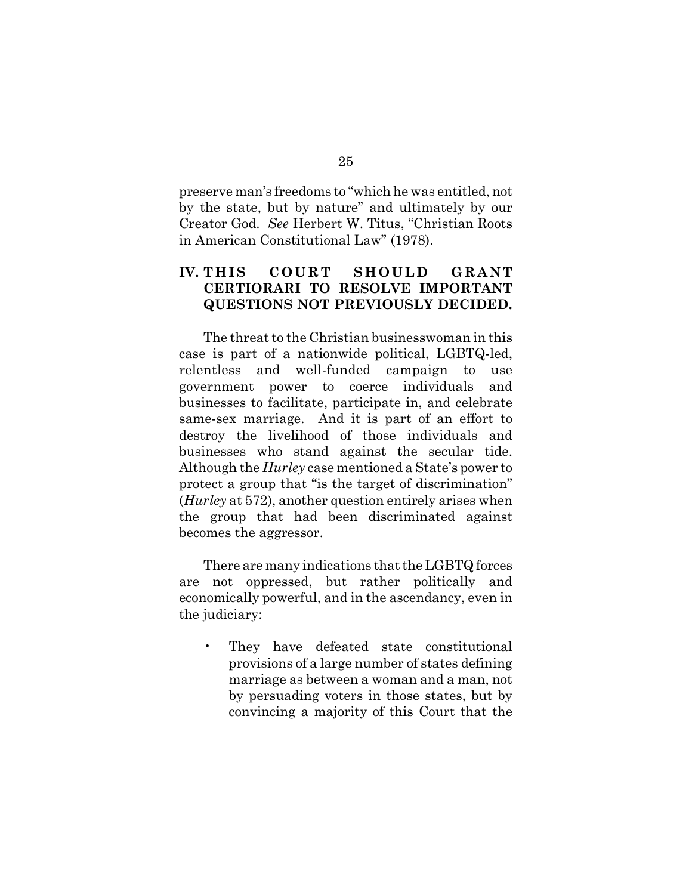preserve man's freedoms to "which he was entitled, not by the state, but by nature" and ultimately by our Creator God. *See* Herbert W. Titus, "Christian Roots in American Constitutional Law" (1978).

## **IV. THIS COURT SHOULD GRANT CERTIORARI TO RESOLVE IMPORTANT QUESTIONS NOT PREVIOUSLY DECIDED.**

The threat to the Christian businesswoman in this case is part of a nationwide political, LGBTQ-led, relentless and well-funded campaign to use government power to coerce individuals and businesses to facilitate, participate in, and celebrate same-sex marriage. And it is part of an effort to destroy the livelihood of those individuals and businesses who stand against the secular tide. Although the *Hurley* case mentioned a State's power to protect a group that "is the target of discrimination" (*Hurley* at 572), another question entirely arises when the group that had been discriminated against becomes the aggressor.

There are many indications that the LGBTQ forces are not oppressed, but rather politically and economically powerful, and in the ascendancy, even in the judiciary:

• They have defeated state constitutional provisions of a large number of states defining marriage as between a woman and a man, not by persuading voters in those states, but by convincing a majority of this Court that the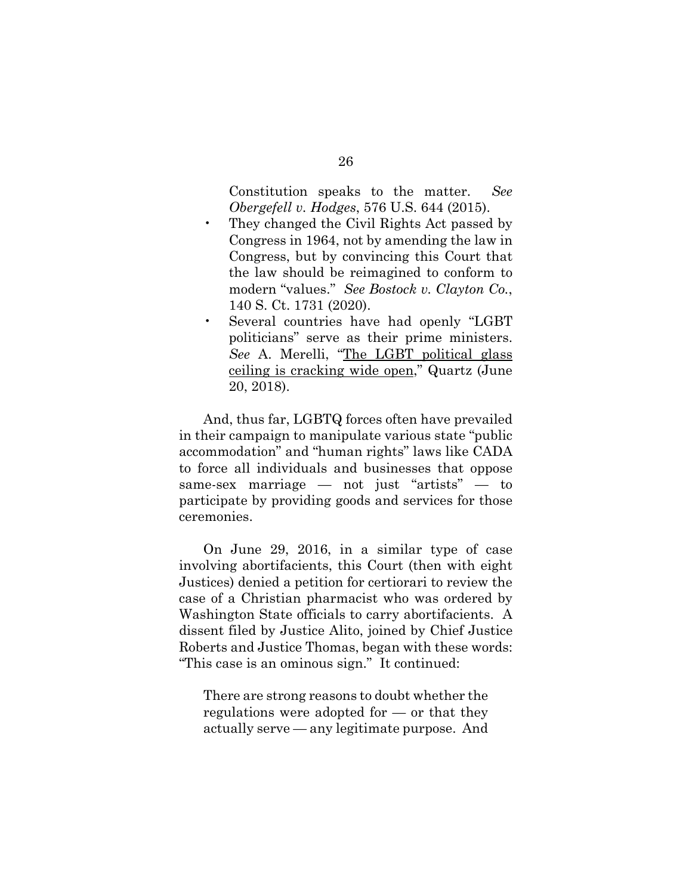Constitution speaks to the matter. *See Obergefell v. Hodges*, 576 U.S. 644 (2015).

- They changed the Civil Rights Act passed by Congress in 1964, not by amending the law in Congress, but by convincing this Court that the law should be reimagined to conform to modern "values." *See Bostock v. Clayton Co.*, 140 S. Ct. 1731 (2020).
- Several countries have had openly "LGBT politicians" serve as their prime ministers. *See* A. Merelli, "The LGBT political glass ceiling is cracking wide open," Quartz (June 20, 2018).

And, thus far, LGBTQ forces often have prevailed in their campaign to manipulate various state "public accommodation" and "human rights" laws like CADA to force all individuals and businesses that oppose same-sex marriage — not just "artists" — to participate by providing goods and services for those ceremonies.

On June 29, 2016, in a similar type of case involving abortifacients, this Court (then with eight Justices) denied a petition for certiorari to review the case of a Christian pharmacist who was ordered by Washington State officials to carry abortifacients. A dissent filed by Justice Alito, joined by Chief Justice Roberts and Justice Thomas, began with these words: "This case is an ominous sign." It continued:

There are strong reasons to doubt whether the regulations were adopted for — or that they actually serve — any legitimate purpose. And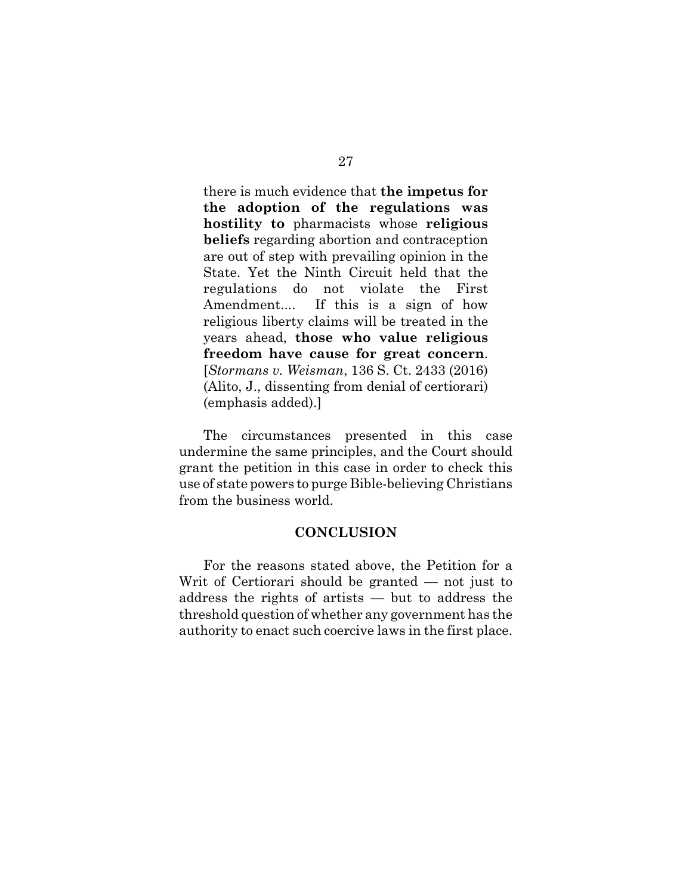there is much evidence that **the impetus for the adoption of the regulations was hostility to** pharmacists whose **religious beliefs** regarding abortion and contraception are out of step with prevailing opinion in the State. Yet the Ninth Circuit held that the regulations do not violate the First Amendment.... If this is a sign of how religious liberty claims will be treated in the years ahead, **those who value religious freedom have cause for great concern**. [*Stormans v. Weisman*, 136 S. Ct. 2433 (2016) (Alito, J., dissenting from denial of certiorari) (emphasis added).]

The circumstances presented in this case undermine the same principles, and the Court should grant the petition in this case in order to check this use of state powers to purge Bible-believing Christians from the business world.

#### **CONCLUSION**

For the reasons stated above, the Petition for a Writ of Certiorari should be granted — not just to address the rights of artists — but to address the threshold question of whether any government has the authority to enact such coercive laws in the first place.